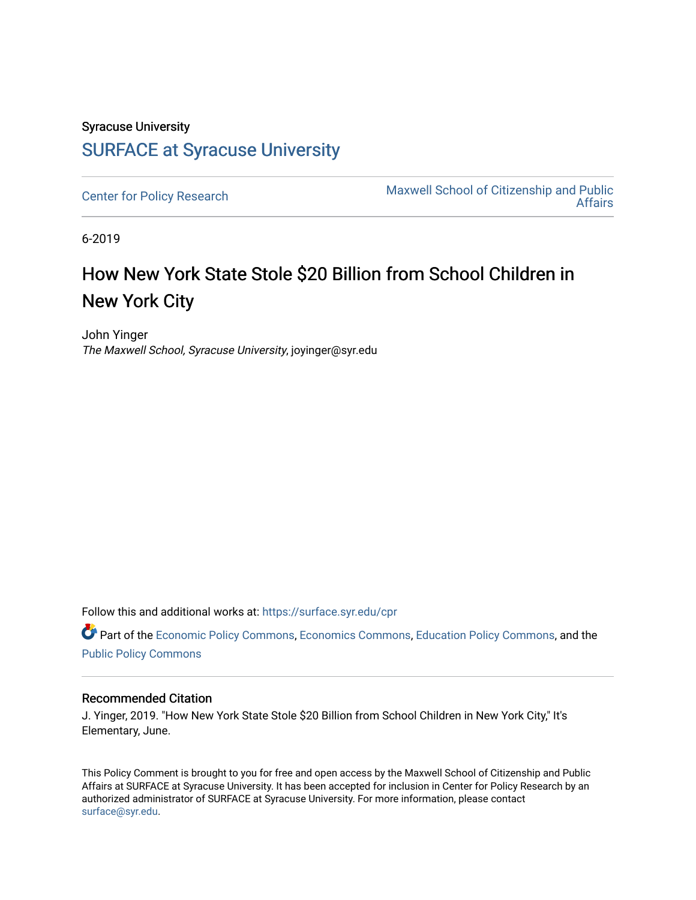# Syracuse University [SURFACE at Syracuse University](https://surface.syr.edu/)

[Center for Policy Research](https://surface.syr.edu/cpr) Maxwell School of Citizenship and Public<br>Affairs [Affairs](https://surface.syr.edu/maxwell) 

6-2019

# How New York State Stole \$20 Billion from School Children in New York City

John Yinger The Maxwell School, Syracuse University, joyinger@syr.edu

Follow this and additional works at: [https://surface.syr.edu/cpr](https://surface.syr.edu/cpr?utm_source=surface.syr.edu%2Fcpr%2F322&utm_medium=PDF&utm_campaign=PDFCoverPages) 

Part of the [Economic Policy Commons](http://network.bepress.com/hgg/discipline/1025?utm_source=surface.syr.edu%2Fcpr%2F322&utm_medium=PDF&utm_campaign=PDFCoverPages), [Economics Commons,](http://network.bepress.com/hgg/discipline/340?utm_source=surface.syr.edu%2Fcpr%2F322&utm_medium=PDF&utm_campaign=PDFCoverPages) [Education Policy Commons](http://network.bepress.com/hgg/discipline/1026?utm_source=surface.syr.edu%2Fcpr%2F322&utm_medium=PDF&utm_campaign=PDFCoverPages), and the [Public Policy Commons](http://network.bepress.com/hgg/discipline/400?utm_source=surface.syr.edu%2Fcpr%2F322&utm_medium=PDF&utm_campaign=PDFCoverPages)

#### Recommended Citation

J. Yinger, 2019. "How New York State Stole \$20 Billion from School Children in New York City," It's Elementary, June.

This Policy Comment is brought to you for free and open access by the Maxwell School of Citizenship and Public Affairs at SURFACE at Syracuse University. It has been accepted for inclusion in Center for Policy Research by an authorized administrator of SURFACE at Syracuse University. For more information, please contact [surface@syr.edu.](mailto:surface@syr.edu)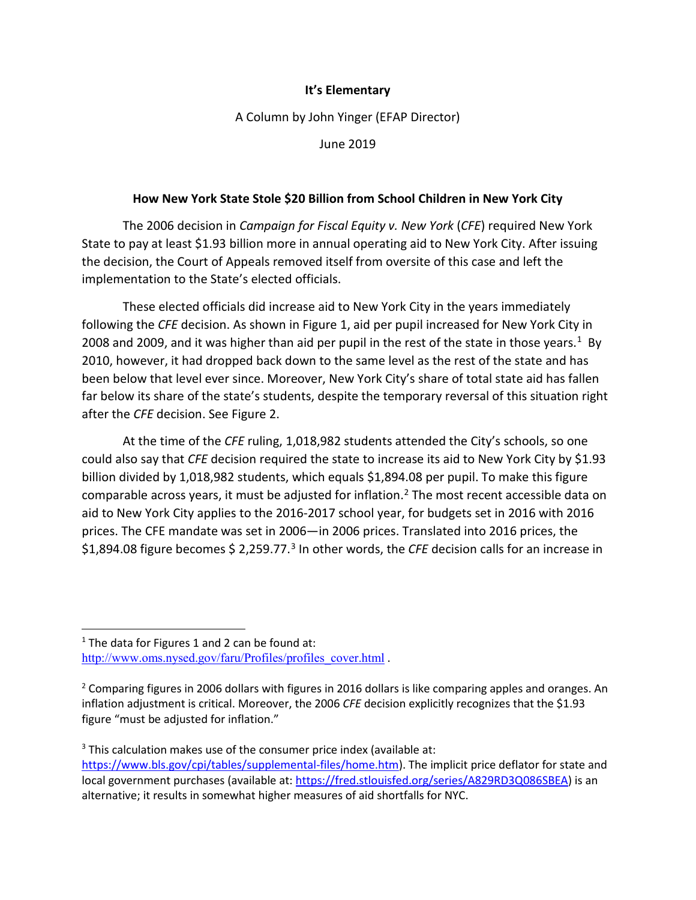## **It's Elementary**

A Column by John Yinger (EFAP Director)

June 2019

### **How New York State Stole \$20 Billion from School Children in New York City**

The 2006 decision in *Campaign for Fiscal Equity v. New York* (*CFE*) required New York State to pay at least \$1.93 billion more in annual operating aid to New York City. After issuing the decision, the Court of Appeals removed itself from oversite of this case and left the implementation to the State's elected officials.

These elected officials did increase aid to New York City in the years immediately following the *CFE* decision. As shown in Figure 1, aid per pupil increased for New York City in 2008 and 2009, and it was higher than aid per pupil in the rest of the state in those years.<sup>1</sup> By 2010, however, it had dropped back down to the same level as the rest of the state and has been below that level ever since. Moreover, New York City's share of total state aid has fallen far below its share of the state's students, despite the temporary reversal of this situation right after the *CFE* decision. See Figure 2.

At the time of the *CFE* ruling, 1,018,982 students attended the City's schools, so one could also say that *CFE* decision required the state to increase its aid to New York City by \$1.93 billion divided by 1,018,982 students, which equals \$1,894.08 per pupil. To make this figure comparable across years, it must be adjusted for inflation.<sup>[2](#page-1-1)</sup> The most recent accessible data on aid to New York City applies to the 2016-2017 school year, for budgets set in 2016 with 2016 prices. The CFE mandate was set in 2006—in 2006 prices. Translated into 2016 prices, the \$1,894.08 figure becomes \$ 2,259.77.<sup>[3](#page-1-2)</sup> In other words, the *CFE* decision calls for an increase in

l

<span id="page-1-0"></span> $1$  The data for Figures 1 and 2 can be found at: [http://www.oms.nysed.gov/faru/Profiles/profiles\\_cover.html](http://www.oms.nysed.gov/faru/Profiles/profiles_cover.html) .

<span id="page-1-1"></span> $<sup>2</sup>$  Comparing figures in 2006 dollars with figures in 2016 dollars is like comparing apples and oranges. An</sup> inflation adjustment is critical. Moreover, the 2006 *CFE* decision explicitly recognizes that the \$1.93 figure "must be adjusted for inflation."

<span id="page-1-2"></span> $3$  This calculation makes use of the consumer price index (available at: [https://www.bls.gov/cpi/tables/supplemental-files/home.htm\)](https://www.bls.gov/cpi/tables/supplemental-files/home.htm). The implicit price deflator for state and local government purchases (available at: [https://fred.stlouisfed.org/series/A829RD3Q086SBEA\)](https://fred.stlouisfed.org/series/A829RD3Q086SBEA) is an alternative; it results in somewhat higher measures of aid shortfalls for NYC.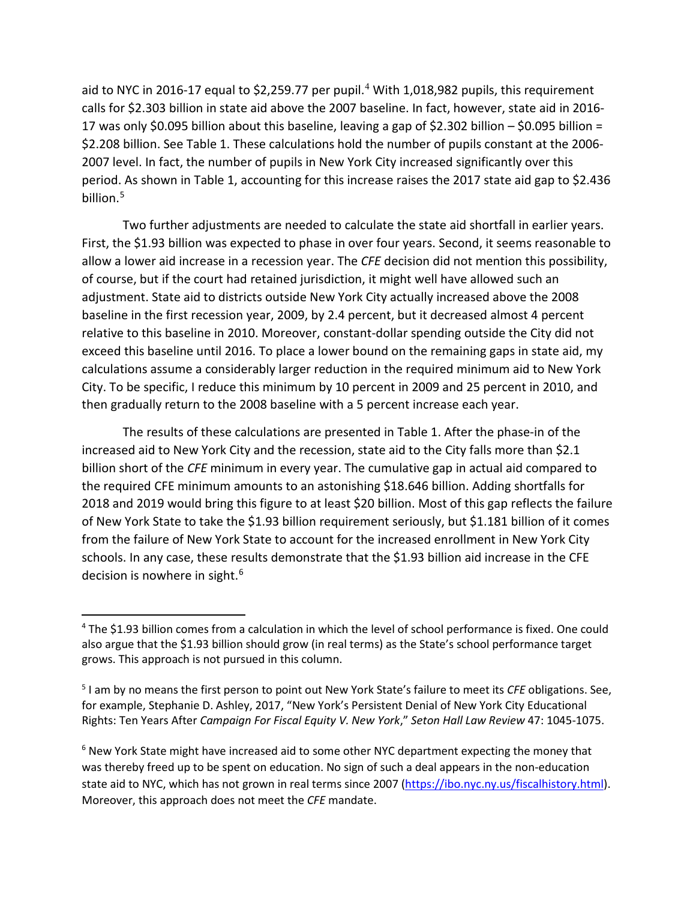aid to NYC in 2016-17 equal to \$2,259.77 per pupil.<sup>[4](#page-2-0)</sup> With 1,018,982 pupils, this requirement calls for \$2.303 billion in state aid above the 2007 baseline. In fact, however, state aid in 2016- 17 was only \$0.095 billion about this baseline, leaving a gap of \$2.302 billion – \$0.095 billion = \$2.208 billion. See Table 1. These calculations hold the number of pupils constant at the 2006- 2007 level. In fact, the number of pupils in New York City increased significantly over this period. As shown in Table 1, accounting for this increase raises the 2017 state aid gap to \$2.436 billion.<sup>5</sup>

Two further adjustments are needed to calculate the state aid shortfall in earlier years. First, the \$1.93 billion was expected to phase in over four years. Second, it seems reasonable to allow a lower aid increase in a recession year. The *CFE* decision did not mention this possibility, of course, but if the court had retained jurisdiction, it might well have allowed such an adjustment. State aid to districts outside New York City actually increased above the 2008 baseline in the first recession year, 2009, by 2.4 percent, but it decreased almost 4 percent relative to this baseline in 2010. Moreover, constant-dollar spending outside the City did not exceed this baseline until 2016. To place a lower bound on the remaining gaps in state aid, my calculations assume a considerably larger reduction in the required minimum aid to New York City. To be specific, I reduce this minimum by 10 percent in 2009 and 25 percent in 2010, and then gradually return to the 2008 baseline with a 5 percent increase each year.

The results of these calculations are presented in Table 1. After the phase-in of the increased aid to New York City and the recession, state aid to the City falls more than \$2.1 billion short of the *CFE* minimum in every year. The cumulative gap in actual aid compared to the required CFE minimum amounts to an astonishing \$18.646 billion. Adding shortfalls for 2018 and 2019 would bring this figure to at least \$20 billion. Most of this gap reflects the failure of New York State to take the \$1.93 billion requirement seriously, but \$1.181 billion of it comes from the failure of New York State to account for the increased enrollment in New York City schools. In any case, these results demonstrate that the \$1.93 billion aid increase in the CFE decision is nowhere in sight.<sup>[6](#page-2-2)</sup>

 $\overline{\phantom{a}}$ 

<span id="page-2-0"></span><sup>4</sup> The \$1.93 billion comes from a calculation in which the level of school performance is fixed. One could also argue that the \$1.93 billion should grow (in real terms) as the State's school performance target grows. This approach is not pursued in this column.

<span id="page-2-1"></span><sup>5</sup> I am by no means the first person to point out New York State's failure to meet its *CFE* obligations. See, for example, Stephanie D. Ashley, 2017, "New York's Persistent Denial of New York City Educational Rights: Ten Years After *Campaign For Fiscal Equity V. New York*," *Seton Hall Law Review* 47: 1045-1075.

<span id="page-2-2"></span><sup>&</sup>lt;sup>6</sup> New York State might have increased aid to some other NYC department expecting the money that was thereby freed up to be spent on education. No sign of such a deal appears in the non-education state aid to NYC, which has not grown in real terms since 2007 [\(https://ibo.nyc.ny.us/fiscalhistory.html\)](https://ibo.nyc.ny.us/fiscalhistory.html). Moreover, this approach does not meet the *CFE* mandate.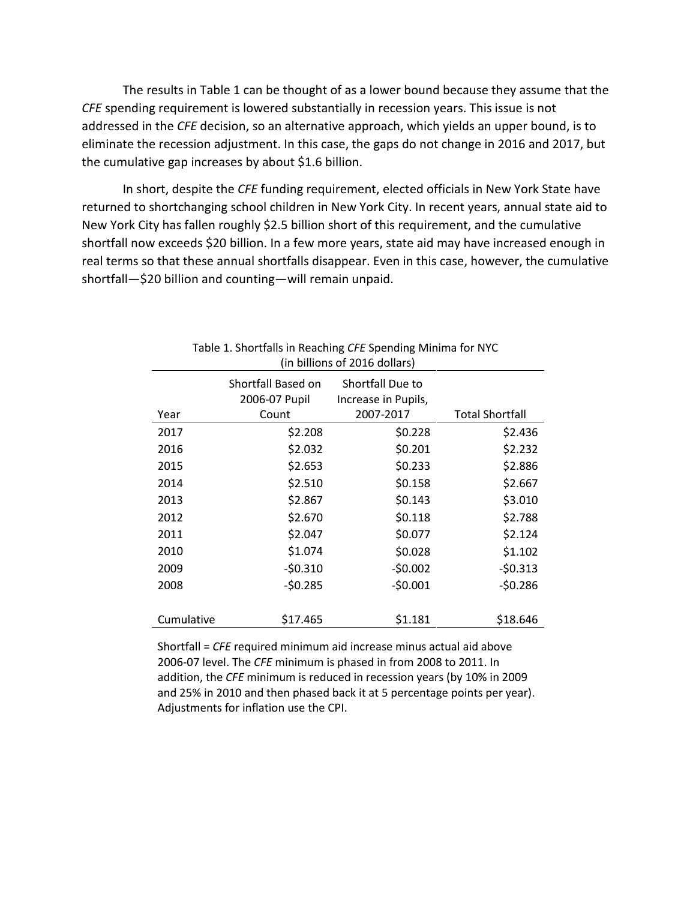The results in Table 1 can be thought of as a lower bound because they assume that the *CFE* spending requirement is lowered substantially in recession years. This issue is not addressed in the *CFE* decision, so an alternative approach, which yields an upper bound, is to eliminate the recession adjustment. In this case, the gaps do not change in 2016 and 2017, but the cumulative gap increases by about \$1.6 billion.

In short, despite the *CFE* funding requirement, elected officials in New York State have returned to shortchanging school children in New York City. In recent years, annual state aid to New York City has fallen roughly \$2.5 billion short of this requirement, and the cumulative shortfall now exceeds \$20 billion. In a few more years, state aid may have increased enough in real terms so that these annual shortfalls disappear. Even in this case, however, the cumulative shortfall—\$20 billion and counting—will remain unpaid.

| (in billions of 2016 dollars) |                                     |                                         |                        |
|-------------------------------|-------------------------------------|-----------------------------------------|------------------------|
|                               | Shortfall Based on<br>2006-07 Pupil | Shortfall Due to<br>Increase in Pupils, |                        |
| Year                          | Count                               | 2007-2017                               | <b>Total Shortfall</b> |
| 2017                          | \$2.208                             | \$0.228                                 | \$2.436                |
| 2016                          | \$2.032                             | \$0.201                                 | \$2.232                |
| 2015                          | \$2.653                             | \$0.233                                 | \$2.886                |
| 2014                          | \$2.510                             | \$0.158                                 | \$2.667                |
| 2013                          | \$2.867                             | \$0.143                                 | \$3.010                |
| 2012                          | \$2.670                             | \$0.118                                 | \$2.788                |
| 2011                          | \$2.047                             | \$0.077                                 | \$2.124                |
| 2010                          | \$1.074                             | \$0.028                                 | \$1.102                |
| 2009                          | $-50.310$                           | $-50.002$                               | $-50.313$              |
| 2008                          | $-50.285$                           | $-50.001$                               | $-50.286$              |
|                               |                                     |                                         |                        |
| Cumulative                    | \$17.465                            | \$1.181                                 | \$18.646               |

Table 1. Shortfalls in Reaching *CFE* Spending Minima for NYC (in billions of 2016 dollars)

Shortfall = *CFE* required minimum aid increase minus actual aid above 2006-07 level. The *CFE* minimum is phased in from 2008 to 2011. In addition, the *CFE* minimum is reduced in recession years (by 10% in 2009 and 25% in 2010 and then phased back it at 5 percentage points per year). Adjustments for inflation use the CPI.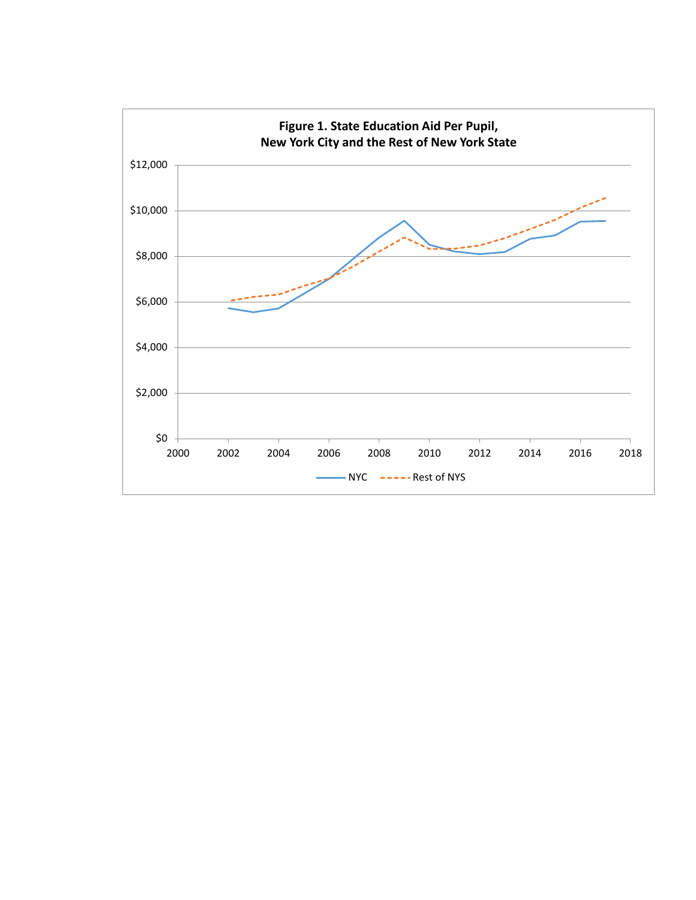